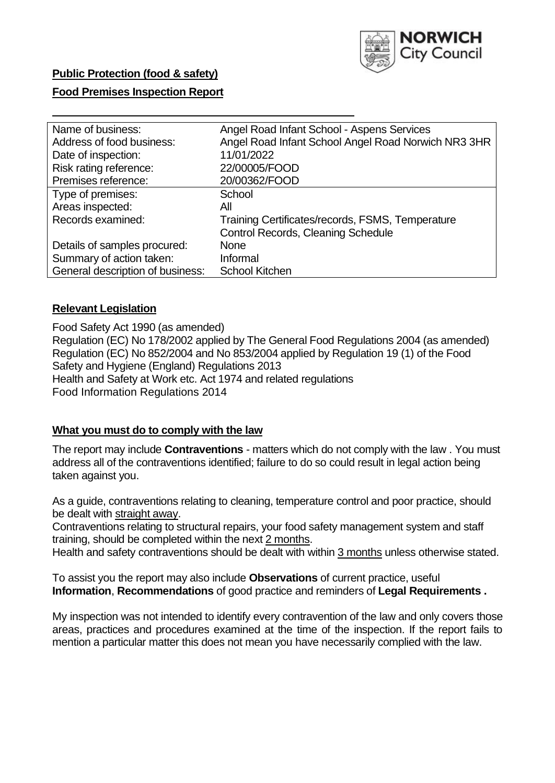

## **Public Protection (food & safety)**

### **Food Premises Inspection Report**

| Angel Road Infant School - Aspens Services          |
|-----------------------------------------------------|
| Angel Road Infant School Angel Road Norwich NR3 3HR |
| 11/01/2022                                          |
| 22/00005/FOOD                                       |
| 20/00362/FOOD                                       |
| School                                              |
| All                                                 |
| Training Certificates/records, FSMS, Temperature    |
| Control Records, Cleaning Schedule                  |
| <b>None</b>                                         |
| Informal                                            |
| <b>School Kitchen</b>                               |
|                                                     |

### **Relevant Legislation**

Food Safety Act 1990 (as amended) Regulation (EC) No 178/2002 applied by The General Food Regulations 2004 (as amended) Regulation (EC) No 852/2004 and No 853/2004 applied by Regulation 19 (1) of the Food Safety and Hygiene (England) Regulations 2013 Health and Safety at Work etc. Act 1974 and related regulations Food Information Regulations 2014

### **What you must do to comply with the law**

The report may include **Contraventions** - matters which do not comply with the law . You must address all of the contraventions identified; failure to do so could result in legal action being taken against you.

As a guide, contraventions relating to cleaning, temperature control and poor practice, should be dealt with straight away.

Contraventions relating to structural repairs, your food safety management system and staff training, should be completed within the next 2 months.

Health and safety contraventions should be dealt with within 3 months unless otherwise stated.

To assist you the report may also include **Observations** of current practice, useful **Information**, **Recommendations** of good practice and reminders of **Legal Requirements .**

My inspection was not intended to identify every contravention of the law and only covers those areas, practices and procedures examined at the time of the inspection. If the report fails to mention a particular matter this does not mean you have necessarily complied with the law.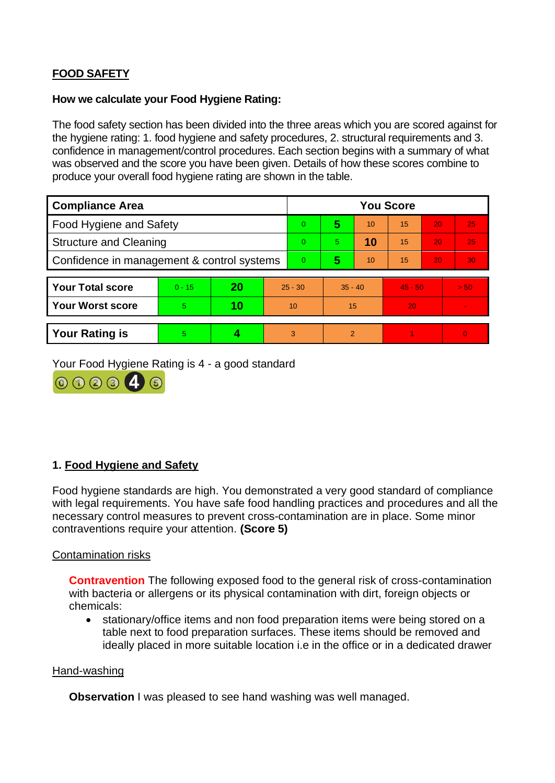# **FOOD SAFETY**

### **How we calculate your Food Hygiene Rating:**

The food safety section has been divided into the three areas which you are scored against for the hygiene rating: 1. food hygiene and safety procedures, 2. structural requirements and 3. confidence in management/control procedures. Each section begins with a summary of what was observed and the score you have been given. Details of how these scores combine to produce your overall food hygiene rating are shown in the table.

| <b>Compliance Area</b>                     |          |    |           | <b>You Score</b> |                |    |                 |    |          |  |
|--------------------------------------------|----------|----|-----------|------------------|----------------|----|-----------------|----|----------|--|
| Food Hygiene and Safety                    |          |    |           | $\Omega$         | 5              | 10 | $\overline{15}$ | 20 | 25       |  |
| <b>Structure and Cleaning</b>              |          |    |           | $\Omega$         | 5              | 10 | 15              | 20 | 25       |  |
| Confidence in management & control systems |          |    |           | $\Omega$         | 5              | 10 | 15              | 20 | 30       |  |
|                                            |          |    |           |                  |                |    |                 |    |          |  |
| <b>Your Total score</b>                    | $0 - 15$ | 20 | $25 - 30$ |                  | $35 - 40$      |    | $45 - 50$       |    | > 50     |  |
| <b>Your Worst score</b>                    | 5        | 10 | 10        |                  | 15             |    | 20              |    |          |  |
|                                            |          |    |           |                  |                |    |                 |    |          |  |
| <b>Your Rating is</b>                      | 5        |    |           | 3                | $\overline{2}$ |    |                 |    | $\Omega$ |  |

Your Food Hygiene Rating is 4 - a good standard



## **1. Food Hygiene and Safety**

Food hygiene standards are high. You demonstrated a very good standard of compliance with legal requirements. You have safe food handling practices and procedures and all the necessary control measures to prevent cross-contamination are in place. Some minor contraventions require your attention. **(Score 5)**

### Contamination risks

**Contravention** The following exposed food to the general risk of cross-contamination with bacteria or allergens or its physical contamination with dirt, foreign objects or chemicals:

• stationary/office items and non food preparation items were being stored on a table next to food preparation surfaces. These items should be removed and ideally placed in more suitable location i.e in the office or in a dedicated drawer

#### Hand-washing

**Observation** I was pleased to see hand washing was well managed.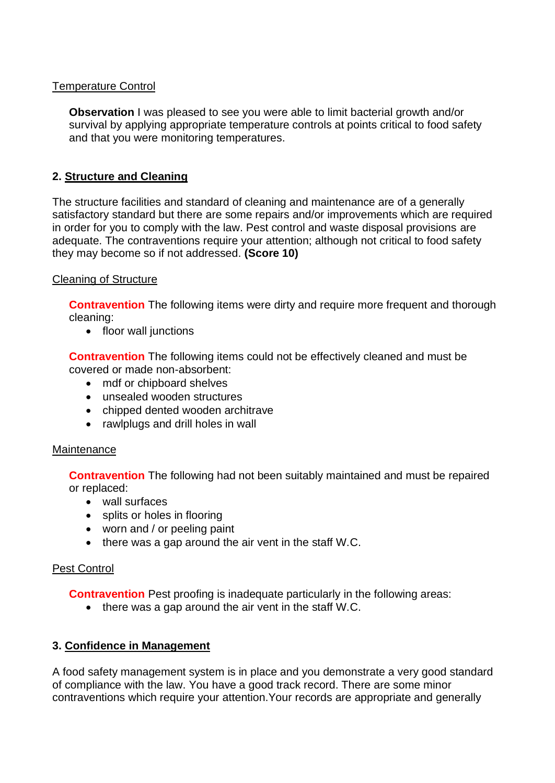### Temperature Control

**Observation** I was pleased to see you were able to limit bacterial growth and/or survival by applying appropriate temperature controls at points critical to food safety and that you were monitoring temperatures.

## **2. Structure and Cleaning**

The structure facilities and standard of cleaning and maintenance are of a generally satisfactory standard but there are some repairs and/or improvements which are required in order for you to comply with the law. Pest control and waste disposal provisions are adequate. The contraventions require your attention: although not critical to food safety they may become so if not addressed. **(Score 10)**

### Cleaning of Structure

**Contravention** The following items were dirty and require more frequent and thorough cleaning:

• floor wall junctions

**Contravention** The following items could not be effectively cleaned and must be covered or made non-absorbent:

- mdf or chipboard shelves
- unsealed wooden structures
- chipped dented wooden architrave
- rawlplugs and drill holes in wall

### **Maintenance**

**Contravention** The following had not been suitably maintained and must be repaired or replaced:

- wall surfaces
- splits or holes in flooring
- worn and / or peeling paint
- there was a gap around the air vent in the staff W.C.

### Pest Control

**Contravention** Pest proofing is inadequate particularly in the following areas:

• there was a gap around the air vent in the staff W.C.

### **3. Confidence in Management**

A food safety management system is in place and you demonstrate a very good standard of compliance with the law. You have a good track record. There are some minor contraventions which require your attention.Your records are appropriate and generally